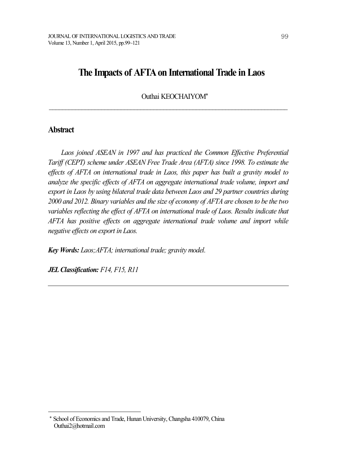# **The Impacts of AFTAon International Trade inLaos**

Outhai KEOCHAIYOM\*

 $\mathcal{L}_\text{max} = \mathcal{L}_\text{max} = \mathcal{L}_\text{max} = \mathcal{L}_\text{max} = \mathcal{L}_\text{max} = \mathcal{L}_\text{max} = \mathcal{L}_\text{max} = \mathcal{L}_\text{max} = \mathcal{L}_\text{max} = \mathcal{L}_\text{max} = \mathcal{L}_\text{max} = \mathcal{L}_\text{max} = \mathcal{L}_\text{max} = \mathcal{L}_\text{max} = \mathcal{L}_\text{max} = \mathcal{L}_\text{max} = \mathcal{L}_\text{max} = \mathcal{L}_\text{max} = \mathcal{$ 

### **Abstract**

*Laos joined ASEAN in 1997 and has practiced the Common Ef ective Preferential Tarif (CEPT) scheme under ASEAN Free Trade Area (AFTA) since 1998. To estimate the ef ects of AFTA on international trade in Laos, this paper has built a gravity model to analyze the specific ef ects of AFTA on aggregate international trade volume, import and export in Laos by using bilateral trade data between Laos and 29 partner countries during 2000 and 2012. Binary variables and the size of economy of AFTA are chosen to be the two variables reflecting the ef ect of AFTA on international trade of Laos. Results indicate that AFTA has positive ef ects on aggregate international trade volume and import while negative ef ects on export in Laos.*

*Key Words: Laos;AFTA; international trade; gravity model.*

*JELClassification: F14, F15, R11*

School of Economics and Trade, Hunan University, Changsha 410079, China Outhai2@hotmail.com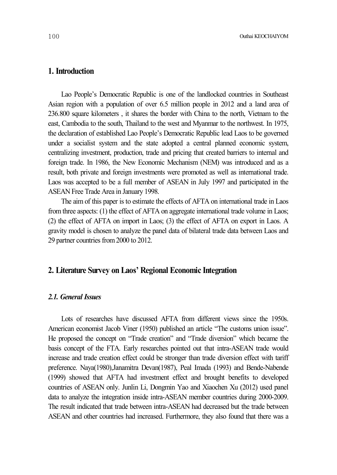# **1. Introduction**

Lao People's Democratic Republic is one of the landlocked countries in Southeast Asian region with a population of over 6.5 million people in 2012 and a land area of 236.800 square kilometers , it shares the border with China to the north, Vietnam to the east, Cambodia to the south, Thailand to the west and Myanmar to the northwest. In 1975, the declaration of established Lao People's Democratic Republic lead Laos to be governed under a socialist system and the state adopted a central planned economic system, centralizing investment, production, trade and pricing that created barriers to internal and foreign trade. In 1986, the New Economic Mechanism (NEM) was introduced and as a result, both private and foreign investments were promoted as well as international trade. Laos was accepted to be a full member of ASEAN in July 1997 and participated in the ASEAN Free Trade Area in January 1998.

The aim of this paper is to estimate the effects of AFTA on international trade in Laos from three aspects: (1) the effect of AFTA on aggregate international trade volume in Laos; (2) the effect of AFTA on import in Laos; (3) the effect of AFTA on export in Laos. A gravity model is chosen to analyze the panel data of bilateral trade data between Laos and 29 partner countries from 2000 to 2012.

# **2. Literature Survey on Laos' Regional Economic Integration**

### *2.1. General Issues*

Lots of researches have discussed AFTA from different views since the 1950s. American economist Jacob Viner (1950) published an article "The customs union issue". He proposed the concept on "Trade creation" and "Trade diversion" which became the basis concept of the FTA. Early researches pointed out that intra-ASEAN trade would increase and trade creation effect could be stronger than trade diversion effect with tariff preference. Naya(1980),Janamitra Devan(1987), Peal Imada (1993) and Bende-Nabende (1999) showed that AFTA had investment effect and brought benefits to developed countries of ASEAN only. Junlin Li, Dongmin Yao and Xiaochen Xu (2012) used panel data to analyze the integration inside intra-ASEAN member countries during 2000-2009. The result indicated that trade between intra-ASEAN had decreased but the trade between ASEAN and other countries had increased. Furthermore, they also found that there was a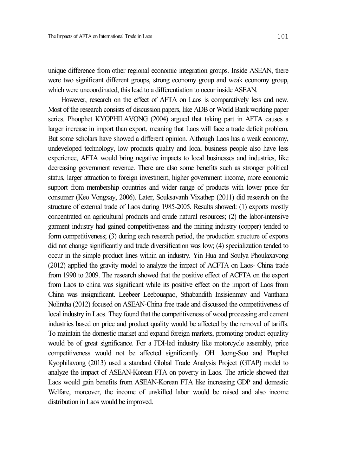unique difference from other regional economic integration groups. Inside ASEAN, there were two significant different groups, strong economy group and weak economy group, which were uncoordinated, this lead to a differentiation to occur inside ASEAN.

However, research on the effect of AFTA on Laos is comparatively less and new. Most of the research consists of discussion papers, like ADB or World Bank working paper series. Phouphet KYOPHILAVONG (2004) argued that taking part in AFTA causes a larger increase in import than export, meaning that Laos will face a trade deficit problem. But some scholars have showed a different opinion. Although Laos has a weak economy, undeveloped technology, low products quality and local business people also have less experience, AFTA would bring negative impacts to local businesses and industries, like decreasing government revenue. There are also some benefits such as stronger political status, larger attraction to foreign investment, higher government income, more economic support from membership countries and wider range of products with lower price for consumer (Keo Vongxay, 2006). Later, Souksavanh Vixathep (2011) did research on the structure of external trade of Laos during 1985-2005. Results showed: (1) exports mostly concentrated on agricultural products and crude natural resources; (2) the labor-intensive garment industry had gained competitiveness and the mining industry (copper) tended to form competitiveness; (3) during each research period, the production structure of exports did not change significantly and trade diversification was low; (4) specialization tended to occur in the simple product lines within an industry. Yin Hua and Soulya Phoulaxavong (2012) applied the gravity model to analyze the impact of ACFTA on Laos- China trade from 1990 to 2009. The research showed that the positive effect of ACFTA on the export from Laos to china was significant while its positive effect on the import of Laos from China was insignificant. Leebeer Leebouapao, Sthabandith Insisienmay and Vanthana Nolintha (2012) focused on ASEAN-China free trade and discussed the competitiveness of local industry in Laos. They found that the competitiveness of wood processing and cement industries based on price and product quality would be affected by the removal of tariffs. To maintain the domestic market and expand foreign markets, promoting product equality would be of great significance. For a FDI-led industry like motorcycle assembly, price competitiveness would not be affected significantly. OH. Jeong-Soo and Phuphet Kyophilavong (2013) used a standard Global Trade Analysis Project (GTAP) model to analyze the impact of ASEAN-Korean FTA on poverty in Laos. The article showed that Laos would gain benefits from ASEAN-Korean FTA like increasing GDP and domestic Welfare, moreover, the income of unskilled labor would be raised and also income distribution in Laos would be improved.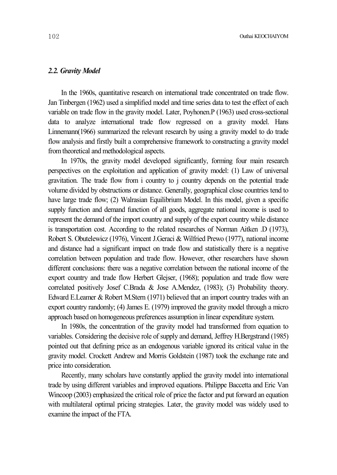### *2.2. Gravity Model*

In the 1960s, quantitative research on international trade concentrated on trade flow. Jan Tinbergen (1962) used a simplified model and time series data to test the effect of each variable on trade flow in the gravity model. Later, Poyhonen.P (1963) used cross-sectional data to analyze international trade flow regressed on a gravity model. Hans Linnemann(1966) summarized the relevant research by using a gravity model to do trade flow analysis and firstly built a comprehensive framework to constructing a gravity model fromtheoretical and methodological aspects.

In 1970s, the gravity model developed significantly, forming four main research perspectives on the exploitation and application of gravity model: (1) Law of universal gravitation. The trade flow from i country to j country depends on the potential trade volume divided by obstructions or distance. Generally, geographical close countries tend to have large trade flow; (2) Walrasian Equilibrium Model. In this model, given a specific supply function and demand function of all goods, aggregate national income is used to represent the demand of the import country and supply of the export country while distance is transportation cost. According to the related researches of Norman Aitken .D (1973), Robert S. Obutelewicz (1976), Vincent J.Geraci & Wilfried Prewo (1977), national income and distance had a significant impact on trade flow and statistically there is a negative correlation between population and trade flow. However, other researchers have shown different conclusions: there was a negative correlation between the national income of the export country and trade flow Herbert Glejser, (1968); population and trade flow were correlated positively Josef C.Brada & Jose A.Mendez, (1983); (3) Probability theory. Edward E.Leamer & Robert M.Stern (1971) believed that an import country trades with an export country randomly; (4) James E. (1979) improved the gravity model through a micro approach based on homogeneous preferences assumption in linear expenditure system.

In 1980s, the concentration of the gravity model had transformed from equation to variables. Considering the decisive role of supply and demand, Jeffrey H.Bergstrand (1985) pointed out that defining price as an endogenous variable ignored its critical value in the gravity model. Crockett Andrew and Morris Goldstein (1987) took the exchange rate and price into consideration.

Recently, many scholars have constantly applied the gravity model into international trade by using different variables and improved equations. Philippe Baccetta and Eric Van Wincoop (2003) emphasized the critical role of price the factor and put forward an equation with multilateral optimal pricing strategies. Later, the gravity model was widely used to examine the impact of the FTA.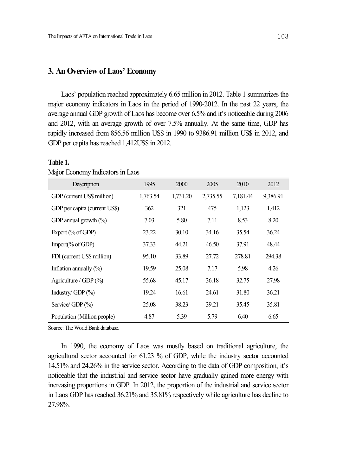# **3. An Overview of Laos' Economy**

Laos' population reached approximately 6.65 million in 2012. Table 1 summarizes the major economy indicators in Laos in the period of 1990-2012. In the past 22 years, the average annual GDP growth of Laos has become over 6.5% and it's noticeable during 2006 and 2012, with an average growth of over 7.5% annually. At the same time, GDP has rapidly increased from 856.56 million US\$ in 1990 to 9386.91 million US\$ in 2012, and GDP per capita has reached 1,412US\$ in 2012.

| Description                   | 1995     | 2000     | 2005     | 2010     | 2012     |
|-------------------------------|----------|----------|----------|----------|----------|
| GDP (current US\$ million)    | 1,763.54 | 1,731.20 | 2,735.55 | 7,181.44 | 9,386.91 |
| GDP per capita (current US\$) | 362      | 321      | 475      | 1,123    | 1,412    |
| GDP annual growth $(\% )$     | 7.03     | 5.80     | 7.11     | 8.53     | 8.20     |
| Export $(\%$ of GDP)          | 23.22    | 30.10    | 34.16    | 35.54    | 36.24    |
| Import( $\%$ of GDP)          | 37.33    | 44.21    | 46.50    | 37.91    | 48.44    |
| FDI (current US\$ million)    | 95.10    | 33.89    | 27.72    | 278.81   | 294.38   |
| Inflation annually $(\% )$    | 19.59    | 25.08    | 7.17     | 5.98     | 4.26     |
| Agriculture / GDP $(\%$       | 55.68    | 45.17    | 36.18    | 32.75    | 27.98    |
| Industry/GDP $(\%)$           | 19.24    | 16.61    | 24.61    | 31.80    | 36.21    |
| Service/ GDP (%)              | 25.08    | 38.23    | 39.21    | 35.45    | 35.81    |
| Population (Million people)   | 4.87     | 5.39     | 5.79     | 6.40     | 6.65     |

#### **Table 1.**

Major Economy Indicators in Laos

Source: The World Bank database.

In 1990, the economy of Laos was mostly based on traditional agriculture, the agricultural sector accounted for 61.23 % of GDP, while the industry sector accounted 14.51% and 24.26% in the service sector. According to the data of GDP composition, it's noticeable that the industrial and service sector have gradually gained more energy with increasing proportions in GDP. In 2012, the proportion of the industrial and service sector in Laos GDP has reached 36.21% and 35.81% respectively while agriculture has decline to 27.98%.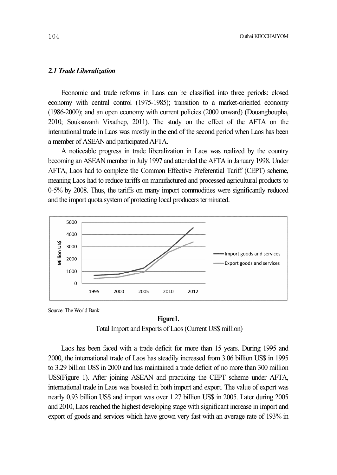## *2.1 Trade Liberalization*

Economic and trade reforms in Laos can be classified into three periods: closed economy with central control (1975-1985); transition to a market-oriented economy (1986-2000); and an open economy with current policies (2000 onward) (Douangboupha, 2010; Souksavanh Vixathep, 2011). The study on the effect of the AFTA on the international trade in Laos was mostly in the end of the second period when Laos has been a member of ASEAN and participated AFTA.

A noticeable progress in trade liberalization in Laos was realized by the country becoming an ASEAN member in July 1997 and attended the AFTA in January 1998. Under AFTA, Laos had to complete the Common Effective Preferential Tariff (CEPT) scheme, meaning Laos had to reduce tariffs on manufactured and processed agricultural products to 0-5% by 2008. Thus, the tariffs on many import commodities were significantly reduced and the import quota system of protecting local producers terminated.



Source: The World Bank

#### **Figure1.**

Total Import and Exports of Laos(Current US\$ million)

Laos has been faced with a trade deficit for more than 15 years. During 1995 and 2000, the international trade of Laos has steadily increased from 3.06 billion US\$ in 1995 to 3.29 billion US\$ in 2000 and has maintained a trade deficit of no more than 300 million US\$(Figure 1). After joining ASEAN and practicing the CEPT scheme under AFTA, international trade in Laos was boosted in both import and export. The value of export was nearly 0.93 billion US\$ and import was over 1.27 billion US\$ in 2005. Later during 2005 and 2010, Laos reached the highest developing stage with significant increase in import and export of goods and services which have grown very fast with an average rate of 193% in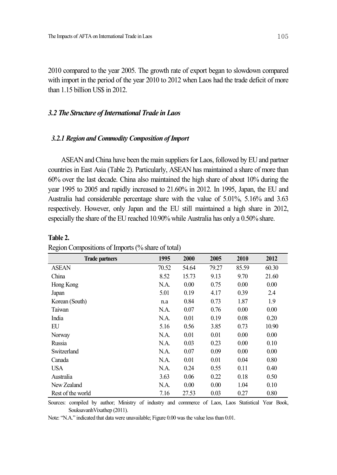2010 compared to the year 2005. The growth rate of export began to slowdown compared with import in the period of the year 2010 to 2012 when Laos had the trade deficit of more than 1.15 billion US\$ in 2012.

### *3.2 The Structure ofInternational Trade in Laos*

### *3.2.1 Regionand Commodity Composition ofImport*

ASEAN and China have been the main suppliers for Laos, followed by EU and partner countries in East Asia (Table 2). Particularly, ASEAN has maintained a share of more than 60% over the last decade. China also maintained the high share of about 10% during the year 1995 to 2005 and rapidly increased to 21.60% in 2012. In 1995, Japan, the EU and Australia had considerable percentage share with the value of 5.01%, 5.16% and 3.63 respectively. However, only Japan and the EU still maintained a high share in 2012, especially the share of the EU reached 10.90% while Australia has only a 0.50% share.

| <b>Trade partners</b> | 1995  | 2000  | 2005  | 2010  | 2012  |
|-----------------------|-------|-------|-------|-------|-------|
| <b>ASEAN</b>          | 70.52 | 54.64 | 79.27 | 85.59 | 60.30 |
| China                 | 8.52  | 15.73 | 9.13  | 9.70  | 21.60 |
| Hong Kong             | N.A.  | 0.00  | 0.75  | 0.00  | 0.00  |
| Japan                 | 5.01  | 0.19  | 4.17  | 0.39  | 2.4   |
| Korean (South)        | n.a   | 0.84  | 0.73  | 1.87  | 1.9   |
| Taiwan                | N.A.  | 0.07  | 0.76  | 0.00  | 0.00  |
| India                 | N.A.  | 0.01  | 0.19  | 0.08  | 0.20  |
| EU                    | 5.16  | 0.56  | 3.85  | 0.73  | 10.90 |
| Norway                | N.A.  | 0.01  | 0.01  | 0.00  | 0.00  |
| Russia                | N.A.  | 0.03  | 0.23  | 0.00  | 0.10  |
| Switzerland           | N.A.  | 0.07  | 0.09  | 0.00  | 0.00  |
| Canada                | N.A.  | 0.01  | 0.01  | 0.04  | 0.80  |
| <b>USA</b>            | N.A.  | 0.24  | 0.55  | 0.11  | 0.40  |
| Australia             | 3.63  | 0.06  | 0.22  | 0.18  | 0.50  |
| New Zealand           | N.A.  | 0.00  | 0.00  | 1.04  | 0.10  |
| Rest of the world     | 7.16  | 27.53 | 0.03  | 0.27  | 0.80  |

### **Table 2.**

|  | Region Compositions of Imports (% share of total) |  |  |  |
|--|---------------------------------------------------|--|--|--|
|  |                                                   |  |  |  |

Sources: compiled by author; Ministry of industry and commerce of Laos, Laos Statistical Year Book, SouksavanhVixathep (2011).

Note: "N.A." indicated that data were unavailable; Figure 0.00 wasthe value lessthan 0.01.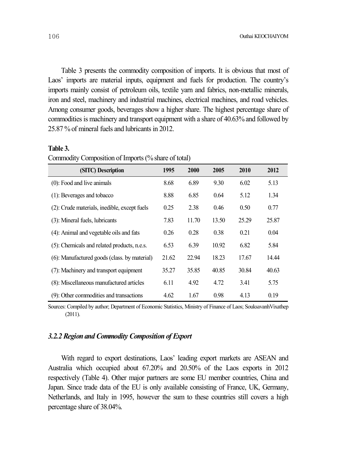Table 3 presents the commodity composition of imports. It is obvious that most of Laos' imports are material inputs, equipment and fuels for production. The country's imports mainly consist of petroleum oils, textile yarn and fabrics, non-metallic minerals, iron and steel, machinery and industrial machines, electrical machines, and road vehicles. Among consumer goods, beverages show a higher share. The highest percentage share of commodities is machinery and transport equipment with a share of 40.63% and followed by 25.87 % of mineral fuels and lubricants in 2012.

### **Table 3.**

| (SITC) Description                           | 1995  | <b>2000</b> | 2005  | 2010  | 2012  |
|----------------------------------------------|-------|-------------|-------|-------|-------|
| $(0)$ : Food and live animals                | 8.68  | 6.89        | 9.30  | 6.02  | 5.13  |
| (1): Beverages and tobacco                   | 8.88  | 6.85        | 0.64  | 5.12  | 1.34  |
| (2): Crude materials, inedible, except fuels | 0.25  | 2.38        | 0.46  | 0.50  | 0.77  |
| (3): Mineral fuels, lubricants               | 7.83  | 11.70       | 13.50 | 25.29 | 25.87 |
| (4): Animal and vegetable oils and fats      | 0.26  | 0.28        | 0.38  | 0.21  | 0.04  |
| (5): Chemicals and related products, n.e.s.  | 6.53  | 6.39        | 10.92 | 6.82  | 5.84  |
| (6): Manufactured goods (class. by material) | 21.62 | 22.94       | 18.23 | 17.67 | 14.44 |
| (7): Machinery and transport equipment       | 35.27 | 35.85       | 40.85 | 30.84 | 40.63 |
| (8): Miscellaneous manufactured articles     | 6.11  | 4.92        | 4.72  | 3.41  | 5.75  |
| (9): Other commodities and transactions      | 4.62  | 1.67        | 0.98  | 4.13  | 0.19  |

Commodity Composition of Imports(%share of total)

Sources: Compiled by author; Department of Economic Statistics, Ministry of Finance of Laos; SouksavanhVixathep (2011).

### *3.2.2 Region and Commodity Composition of Export*

With regard to export destinations, Laos' leading export markets are ASEAN and Australia which occupied about 67.20% and 20.50% of the Laos exports in 2012 respectively (Table 4). Other major partners are some EU member countries, China and Japan. Since trade data of the EU is only available consisting of France, UK, Germany, Netherlands, and Italy in 1995, however the sum to these countries still covers a high percentage share of 38.04%.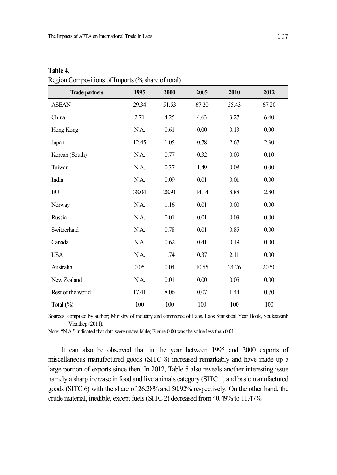| <b>Trade partners</b> | 1995  | 2000  | 2005  | 2010     | 2012     |  |
|-----------------------|-------|-------|-------|----------|----------|--|
| <b>ASEAN</b>          | 29.34 | 51.53 | 67.20 | 55.43    | 67.20    |  |
| China                 | 2.71  | 4.25  | 4.63  | 3.27     | 6.40     |  |
| Hong Kong             | N.A.  | 0.61  | 0.00  | 0.13     | 0.00     |  |
| Japan                 | 12.45 | 1.05  | 0.78  | 2.67     | 2.30     |  |
| Korean (South)        | N.A.  | 0.77  | 0.32  | 0.09     | 0.10     |  |
| Taiwan                | N.A.  | 0.37  | 1.49  | $0.08\,$ | $0.00\,$ |  |
| India                 | N.A.  | 0.09  | 0.01  | 0.01     | 0.00     |  |
| EU                    | 38.04 | 28.91 | 14.14 | 8.88     | 2.80     |  |
| Norway                | N.A.  | 1.16  | 0.01  | $0.00\,$ | $0.00\,$ |  |
| Russia                | N.A.  | 0.01  | 0.01  | 0.03     | 0.00     |  |
| Switzerland           | N.A.  | 0.78  | 0.01  | 0.85     | 0.00     |  |
| Canada                | N.A.  | 0.62  | 0.41  | 0.19     | 0.00     |  |
| <b>USA</b>            | N.A.  | 1.74  | 0.37  | 2.11     | 0.00     |  |
| Australia             | 0.05  | 0.04  | 10.55 | 24.76    | 20.50    |  |
| New Zealand           | N.A.  | 0.01  | 0.00  | 0.05     | 0.00     |  |
| Rest of the world     | 17.41 | 8.06  | 0.07  | 1.44     | 0.70     |  |
| Total $(\% )$         | 100   | 100   | 100   | 100      | 100      |  |

**Table 4.** Region Compositions of Imports(% share of total)

Sources: compiled by author; Ministry of industry and commerce of Laos, Laos Statistical Year Book, Souksavanh Vixathep (2011).

Note: "N.A." indicated that data were unavailable; Figure 0.00 was the value less than 0.01

It can also be observed that in the year between 1995 and 2000 exports of miscellaneous manufactured goods (SITC 8) increased remarkably and have made up a large portion of exports since then. In 2012, Table 5 also reveals another interesting issue namely a sharp increase in food and live animals category (SITC 1) and basic manufactured goods (SITC 6) with the share of 26.28% and 50.92% respectively. On the other hand, the crude material, inedible, except fuels(SITC2) decreased from40.49% to 11.47%.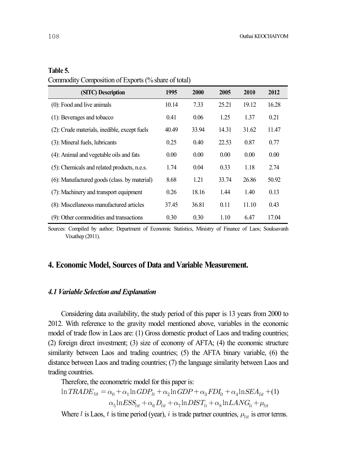### **Table 5.**

| (SITC) Description                           | 1995  | 2000  | 2005  | 2010  | 2012  |
|----------------------------------------------|-------|-------|-------|-------|-------|
| $(0)$ : Food and live animals                | 10.14 | 7.33  | 25.21 | 19.12 | 16.28 |
| (1): Beverages and tobacco                   | 0.41  | 0.06  | 1.25  | 1.37  | 0.21  |
| (2): Crude materials, inedible, except fuels | 40.49 | 33.94 | 14.31 | 31.62 | 11.47 |
| (3): Mineral fuels, lubricants               | 0.25  | 0.40  | 22.53 | 0.87  | 0.77  |
| (4): Animal and vegetable oils and fats      | 0.00  | 0.00  | 0.00  | 0.00  | 0.00  |
| (5): Chemicals and related products, n.e.s.  | 1.74  | 0.04  | 0.33  | 1.18  | 2.74  |
| (6): Manufactured goods (class. by material) | 8.68  | 1.21  | 33.74 | 26.86 | 50.92 |
| (7): Machinery and transport equipment       | 0.26  | 18.16 | 1.44  | 1.40  | 0.13  |
| (8): Miscellaneous manufactured articles     | 37.45 | 36.81 | 0.11  | 11.10 | 0.43  |
| (9): Other commodities and transactions      | 0.30  | 0.30  | 1.10  | 6.47  | 17.04 |

Sources: Compiled by author; Department of Economic Statistics, Ministry of Finance of Laos; Souksavanh Vixathep (2011).

# **4. Economic Model, Sources of Data and Variable Measurement.**

### *4.1 Variable Selectionand Explanation*

Considering data availability, the study period of this paper is 13 years from 2000 to 2012. With reference to the gravity model mentioned above, variables in the economic model of trade flow in Laos are: (1) Gross domestic product of Laos and trading countries; (2) foreign direct investment; (3) size of economy of AFTA; (4) the economic structure similarity between Laos and trading countries; (5) the AFTA binary variable, (6) the distance between Laos and trading countries; (7) the language similarity between Laos and trading countries.

Therefore, the econometric model for this paper is:

$$
\ln TRADE_{lit} = \alpha_0 + \alpha_1 \ln GDP_{lt} + \alpha_2 \ln GDP + \alpha_3 FDI_{lt} + \alpha_4 \ln SEA_{lit} + (1)
$$

$$
\alpha_5 \ln ESS_{lit} + \alpha_6 D_{lit} + \alpha_7 \ln DIST_{li} + \alpha_8 \ln LANG_{li} + \mu_{lit}
$$

Where  $l$  is Laos,  $t$  is time period (year),  $i$  is trade partner countries,  $\mu_{lit}$  is error terms.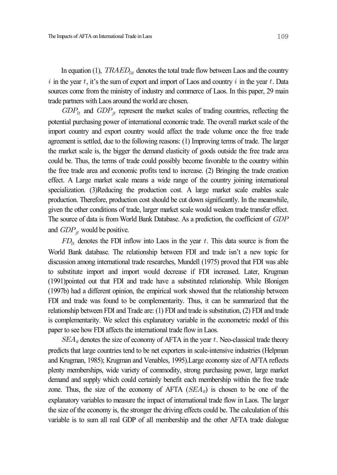In equation (1),  $TRAED<sub>lit</sub>$  denotes the total trade flow between Laos and the country i in the year  $t$ , it's the sum of export and import of Laos and country  $i$  in the year  $t$ . Data sources come from the ministry of industry and commerce of Laos. In this paper, 29 main trade partners with Laos around the world are chosen.

 $GDP_{it}$  and  $GDP_{jt}$  represent the market scales of trading countries, reflecting the potential purchasing power of international economic trade. The overall market scale of the import country and export country would affect the trade volume once the free trade agreement is settled, due to the following reasons: (1) Improving terms of trade. The larger the market scale is, the bigger the demand elasticity of goods outside the free trade area could be. Thus, the terms of trade could possibly become favorable to the country within the free trade area and economic profits tend to increase. (2) Bringing the trade creation effect. A Large market scale means a wide range of the country joining international specialization. (3)Reducing the production cost. A large market scale enables scale production. Therefore, production cost should be cut down significantly. In the meanwhile, given the other conditions of trade, larger market scale would weaken trade transfer effect. The source of data is from World Bank Database. As a prediction, the coefficient of GDP and  $GDP_{it}$  would be positive.

 $FD_{lt}$  denotes the FDI inflow into Laos in the year t. This data source is from the World Bank database. The relationship between FDI and trade isn't a new topic for discussion among international trade researches, Mundell (1975) proved that FDI was able to substitute import and import would decrease if FDI increased. Later, Krugman (1991)pointed out that FDI and trade have a substituted relationship. While Blonigen (1997b) had a different opinion, the empirical work showed that the relationship between FDI and trade was found to be complementarity. Thus, it can be summarized that the relationship between FDI and Trade are: (1) FDI and trade is substitution, (2) FDI and trade is complementarity. We select this explanatory variable in the econometric model of this paper to see how FDI affects the international trade flow in Laos.

 *denotes the size of economy of AFTA in the year*  $t$ *. Neo-classical trade theory* predicts that large countries tend to be net exporters in scale-intensive industries (Helpman and Krugman, 1985); Krugman and Venables, 1995).Large economy size of AFTA reflects plenty memberships, wide variety of commodity, strong purchasing power, large market demand and supply which could certainly benefit each membership within the free trade zone. Thus, the size of the economy of AFTA  $(SEA_{it})$  is chosen to be one of the explanatory variables to measure the impact of international trade flow in Laos. The larger the size of the economy is, the stronger the driving effects could be. The calculation of this variable is to sum all real GDP of all membership and the other AFTA trade dialogue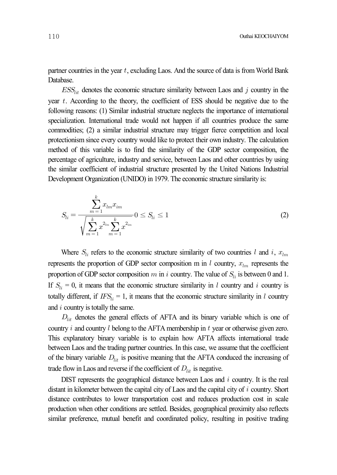partner countries in the year  $t$ , excluding Laos. And the source of data is from World Bank Database.

 $ESS_{lit}$  denotes the economic structure similarity between Laos and  $j$  country in the year  $t$ . According to the theory, the coefficient of ESS should be negative due to the following reasons: (1) Similar industrial structure neglects the importance of international specialization. International trade would not happen if all countries produce the same commodities; (2) a similar industrial structure may trigger fierce competition and local protectionism since every country would like to protect their own industry. The calculation method of this variable is to find the similarity of the GDP sector composition, the percentage of agriculture, industry and service, between Laos and other countries by using the similar coefficient of industrial structure presented by the United Nations Industrial Development Organization (UNIDO) in 1979. The economic structure similarity is: ctionism since every countrival<br>ctionism since every countried<br>of this variable is to<br>matage of agriculture, indust<br>imilar coefficient of indust<br>lopment Organization (UNI<br> $S_{li} = \frac{\sum_{m=1}^{k} x_{lm} x_{im}}{\sqrt{\sum_{m=1}^{k} x_{lm}^{2_{lm}} \sum_{$ 

ood of this variable is to find the similarity of the GDP sector composition, the entage of agriculture, industry and service, between Laos and other countries by using similar coefficient of industrial structure presented by the United Nations Industrial  
\n**elopment Organization (UNIDO)** in 1979. The economic structure similarity is:

\n
$$
S_{li} = \frac{\sum_{m=1}^{k} x_{lm} x_{im}}{\sqrt{\sum_{m=1}^{k} x_{im}^{2m} \sum_{m=1}^{k} x_{im}^{2m}}} 0 \leq S_{li} \leq 1
$$
\n(2)

Where  $S_{li}$  refers to the economic structure similarity of two countries l and i,  $x_{lm}$ represents the proportion of GDP sector composition m in  $l$  country,  $x_{lm}$  represents the proportion of GDP sector composition  $m$  in  $i$  country. The value of  $S_{li}$  is between 0 and 1. If  $S_{li} = 0$ , it means that the economic structure similarity in *l* country and *i* country is totally different, if  $IFS_{li} = 1$ , it means that the economic structure similarity in l country and  $i$  country is totally the same.

 $D_{lit}$  denotes the general effects of AFTA and its binary variable which is one of country  $i$  and country  $l$  belong to the AFTA membership in  $t$  year or otherwise given zero. This explanatory binary variable is to explain how AFTA affects international trade between Laos and the trading partner countries. In this case, we assume that the coefficient of the binary variable  $D_{lit}$  is positive meaning that the AFTA conduced the increasing of trade flow in Laos and reverse if the coefficient of  $D_{lit}$  is negative.

DIST represents the geographical distance between Laos and  $i$  country. It is the real distant in kilometer between the capital city of Laos and the capital city of  $i$  country. Short distance contributes to lower transportation cost and reduces production cost in scale production when other conditions are settled. Besides, geographical proximity also reflects similar preference, mutual benefit and coordinated policy, resulting in positive trading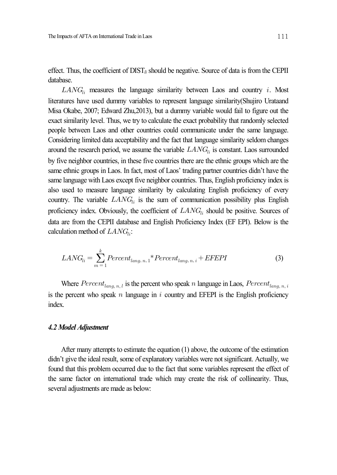effect. Thus, the coefficient of DIST*li* should be negative. Source of data is from the CEPII database.

 $LANG_{li}$  measures the language similarity between Laos and country i. Most literatures have used dummy variables to represent language similarity(Shujiro Urataand Misa Okabe, 2007; Edward Zhu,2013), but a dummy variable would fail to figure out the exact similarity level. Thus, we try to calculate the exact probability that randomly selected people between Laos and other countries could communicate under the same language. Considering limited data acceptability and the fact that language similarity seldom changes around the research period, we assume the variable  $LANG_{li}$  is constant. Laos surrounded by five neighbor countries, in these five countries there are the ethnic groups which are the same ethnic groups in Laos. In fact, most of Laos' trading partner countries didn't have the same language with Laos except five neighbor countries. Thus, English proficiency index is also used to measure language similarity by calculating English proficiency of every country. The variable  $LAND_{li}$  is the sum of communication possibility plus English proficiency index. Obviously, the coefficient of  $LMNG_{li}$  should be positive. Sources of data are from the CEPII database and English Proficiency Index (EF EPI). Below is the calculation method of  $LANG_{li}$ :

$$
LANG_{li} = \sum_{m=1}^{k} Percent_{lang, n, 1} * Percent_{lang, n, i} + EFEPI
$$
\n(3)

Where  $Percent_{lang, n, l}$  is the percent who speak *n* language in Laos,  $Percent_{lang, n, i}$ is the percent who speak  $n$  language in  $i$  country and EFEPI is the English proficiency index.

### *4.2 Model Adjustment*

After many attempts to estimate the equation (1) above, the outcome of the estimation didn't give the ideal result, some of explanatory variables were not significant. Actually, we found that this problem occurred due to the fact that some variables represent the effect of the same factor on international trade which may create the risk of collinearity. Thus, several adjustments are made as below: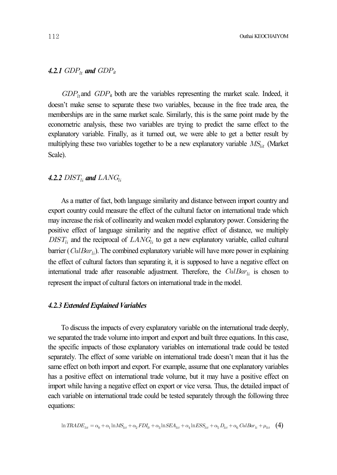### 4.2.1  $GDP_{1t}$  and  $GDP_{it}$

 $GDP<sub>lt</sub>$  and  $GDP<sub>lt</sub>$  both are the variables representing the market scale. Indeed, it doesn't make sense to separate these two variables, because in the free trade area, the memberships are in the same market scale. Similarly, this is the same point made by the econometric analysis, these two variables are trying to predict the same effect to the explanatory variable. Finally, as it turned out, we were able to get a better result by multiplying these two variables together to be a new explanatory variable  $MS_{lit}$  (Market Scale).

### 4.2.2  $DIST_{li}$  and  $LAND_{li}$

As a matter of fact, both language similarity and distance between import country and export country could measure the effect of the cultural factor on international trade which may increase the risk of collinearity and weaken model explanatory power. Considering the positive effect of language similarity and the negative effect of distance, we multiply  $DIST_{li}$  and the reciprocal of  $LAND_{li}$  to get a new explanatory variable, called cultural barrier ( $CulBar_{li}$ ). The combined explanatory variable will have more power in explaining the effect of cultural factors than separating it, it is supposed to have a negative effect on international trade after reasonable adjustment. Therefore, the  $C \mu B a r_{li}$  is chosen to represent the impact of cultural factors on international trade in the model.

### **4.2.3 Extended Explained Variables**

To discuss the impacts of every explanatory variable on the international trade deeply, we separated the trade volume into import and export and built three equations. In this case, the specific impacts of those explanatory variables on international trade could be tested separately. The effect of some variable on international trade doesn't mean that it has the same effect on both import and export. For example, assume that one explanatory variables has a positive effect on international trade volume, but it may have a positive effect on import while having a negative effect on export or vice versa. Thus, the detailed impact of each variable on international trade could be tested separately through the following three equations:

$$
\ln TRADE_{lit} = \alpha_0 + \alpha_1 \ln MS_{lit} + \alpha_2 EDI_{lt} + \alpha_3 \ln SEA_{lit} + \alpha_4 \ln ESS_{lit} + \alpha_5 D_{lit} + \alpha_6 CollBar_{li} + \mu_{lit} \tag{4}
$$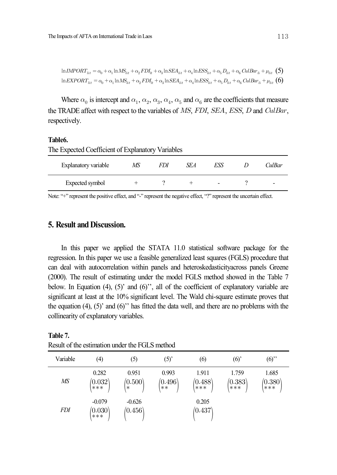$$
\ln \text{LMPORT}_{lit} = \alpha_0 + \alpha_1 \ln \text{MS}_{lit} + \alpha_2 \text{FDI}_{lt} + \alpha_3 \ln \text{SEA}_{lit} + \alpha_4 \ln \text{ESS}_{lit} + \alpha_5 D_{lit} + \alpha_6 \text{CulBar}_{li} + \mu_{lit} \tag{5}
$$
  

$$
\ln \text{EXPORT}_{lit} = \alpha_0 + \alpha_1 \ln \text{MS}_{lit} + \alpha_2 \text{FDI}_{lt} + \alpha_3 \ln \text{SEA}_{lit} + \alpha_4 \ln \text{ESS}_{lit} + \alpha_5 D_{lit} + \alpha_6 \text{CulBar}_{li} + \mu_{lit} \tag{6}
$$

Where  $\alpha_0$  is intercept and  $\alpha_1$ ,  $\alpha_2$ ,  $\alpha_3$ ,  $\alpha_4$ ,  $\alpha_5$  and  $\alpha_6$  are the coefficients that measure the TRADE affect with respect to the variables of  $MS$ ,  $FDI$ ,  $SEA$ ,  $ESS$ ,  $D$  and  $CulBar$ , respectively.

### **Table6.**

**Table 7.**

| The Expected Coefficient of Explanatory Variables |    |     |            |     |  |        |  |  |
|---------------------------------------------------|----|-----|------------|-----|--|--------|--|--|
| Explanatory variable                              | MS | FDI | <i>SEA</i> | ESS |  | CulBar |  |  |
| Expected symbol                                   |    |     |            | -   |  |        |  |  |

Note: "+" represent the positive effect, and "-" represent the negative effect, "?" represent the uncertain effect.

# **5. Result and Discussion.**

In this paper we applied the STATA 11.0 statistical software package for the regression. In this paper we use a feasible generalized least squares (FGLS) procedure that can deal with autocorrelation within panels and heteroskedasticityacross panels Greene (2000). The result of estimating under the model FGLS method showed in the Table 7 below. In Equation (4), (5)' and (6)'', all of the coefficient of explanatory variable are significant at least at the 10% significant level. The Wald chi-square estimate proves that the equation (4), (5)' and (6)'' has fitted the data well, and there are no problems with the collinearity of explanatory variables.

| Variable   | $\left( 4\right)$              | (5)                        | (5)                           | (6)                             | (6)                           | $(6)$ "                       |
|------------|--------------------------------|----------------------------|-------------------------------|---------------------------------|-------------------------------|-------------------------------|
| MS         | 0.282<br>$\binom{0.032}{***}$  | 0.951<br>(0.500)<br>$\ast$ | 0.993<br>$\binom{0.496}{***}$ | 1.911<br>$\binom{0.488}{***}$   | 1.759<br>$\binom{0.383}{***}$ | 1.685<br>$\binom{0.380}{***}$ |
| <i>FDI</i> | $-0.079$<br>$^{(0.030)}_{***}$ | $-0.626$<br>(0.456)        |                               | 0.205<br>$\langle 0.437\rangle$ |                               |                               |

Result of the estimation under the FGLS method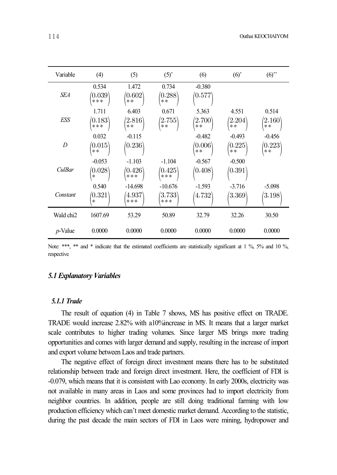| Variable              | (4)                                          | (5)                                        | (5) <sup>2</sup>                           | (6)                                         | (6)                                         | (6)                                         |
|-----------------------|----------------------------------------------|--------------------------------------------|--------------------------------------------|---------------------------------------------|---------------------------------------------|---------------------------------------------|
| <b>SEA</b>            | 0.534<br>$\langle 0.039\rangle$<br>***       | 1.472<br>$\langle 0.602\rangle$<br>$***$   | 0.734<br>$\langle 0.288\rangle$<br>$***$   | $-0.380$<br>$\langle 0.577\rangle$          |                                             |                                             |
| <b>ESS</b>            | 1.711<br>$\langle 0.183\rangle$<br>***       | 6.403<br>$\langle 2.816\rangle$<br>$**$    | 0.671<br>$\langle 2.755\rangle$<br>$***$   | 5.363<br>(2.700)<br>$**$                    | 4.551<br>$\langle 2.204\rangle$<br>$**$     | 0.514<br>$\langle 2.160\rangle$<br>$***$    |
| D                     | 0.032<br>$\langle 0.015\rangle$<br>$***$     | $-0.115$<br>$\langle 0.236\rangle$         |                                            | $-0.482$<br>$\langle 0.006\rangle$<br>$***$ | $-0.493$<br>$\langle 0.225\rangle$<br>$***$ | $-0.456$<br>$\langle 0.223\rangle$<br>$***$ |
| CulBar                | $-0.053$<br>$\langle 0.028\rangle$<br>$\ast$ | $-1.103$<br>$\langle 0.426\rangle$<br>***  | $-1.104$<br>$\langle 0.425\rangle$<br>***  | $-0.567$<br>(0.408)                         | $-0.500$<br>$\langle 0.391\rangle$          |                                             |
| Constant              | 0.540<br>$\langle 0.321\rangle$<br>$\ast$    | $-14.698$<br>$\langle 4.937\rangle$<br>*** | $-10.676$<br>$\langle 3.733\rangle$<br>*** | $-1.593$<br>$\langle 4.732\rangle$          | $-3.716$<br>$\langle 3.369\rangle$          | $-5.098$<br>$\langle 3.198\rangle$          |
| Wald chi <sub>2</sub> | 1607.69                                      | 53.29                                      | 50.89                                      | 32.79                                       | 32.26                                       | 30.50                                       |
| $p$ -Value            | 0.0000                                       | 0.0000                                     | 0.0000                                     | 0.0000                                      | 0.0000                                      | 0.0000                                      |

Note: \*\*\*, \*\* and \* indicate that the estimated coefficients are statistically significant at 1 %, 5% and 10 %, respective

### *5.1 Explanatory Variables*

### *5.1.1 Trade*

The result of equation (4) in Table 7 shows, MS has positive effect on TRADE. TRADE would increase 2.82% with a10%increase in MS. It means that a larger market scale contributes to higher trading volumes. Since larger MS brings more trading opportunities and comes with larger demand and supply, resulting in the increase of import and export volume between Laos and trade partners.

The negative effect of foreign direct investment means there has to be substituted relationship between trade and foreign direct investment. Here, the coefficient of FDI is -0.079, which means that it is consistent with Lao economy. In early 2000s, electricity was not available in many areas in Laos and some provinces had to import electricity from neighbor countries. In addition, people are still doing traditional farming with low production efficiency which can't meet domestic market demand. According to the statistic, during the past decade the main sectors of FDI in Laos were mining, hydropower and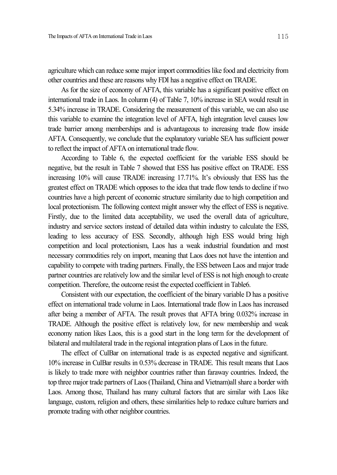agriculture which can reduce some major import commodities like food and electricity from other countries and these are reasons why FDI has a negative effect on TRADE.

As for the size of economy of AFTA, this variable has a significant positive effect on international trade in Laos. In column (4) of Table 7, 10% increase in SEA would result in 5.34% increase in TRADE. Considering the measurement of this variable, we can also use this variable to examine the integration level of AFTA, high integration level causes low trade barrier among memberships and is advantageous to increasing trade flow inside AFTA. Consequently, we conclude that the explanatory variable SEA has sufficient power to reflect the impact of AFTA on international trade flow.

According to Table 6, the expected coefficient for the variable ESS should be negative, but the result in Table 7 showed that ESS has positive effect on TRADE. ESS increasing 10% will cause TRADE increasing 17.71%. It's obviously that ESS has the greatest effect on TRADE which opposes to the idea that trade flow tends to decline if two countries have a high percent of economic structure similarity due to high competition and local protectionism. The following context might answer why the effect of ESS is negative. Firstly, due to the limited data acceptability, we used the overall data of agriculture, industry and service sectors instead of detailed data within industry to calculate the ESS, leading to less accuracy of ESS. Secondly, although high ESS would bring high competition and local protectionism, Laos has a weak industrial foundation and most necessary commodities rely on import, meaning that Laos does not have the intention and capability to compete with trading partners. Finally, the ESS between Laos and major trade partner countries are relatively low and the similar level of ESS is not high enough to create competition. Therefore, the outcome resist the expected coefficient in Table6.

Consistent with our expectation, the coefficient of the binary variable D has a positive effect on international trade volume in Laos. International trade flow in Laos has increased after being a member of AFTA. The result proves that AFTA bring 0.032% increase in TRADE. Although the positive effect is relatively low, for new membership and weak economy nation likes Laos, this is a good start in the long term for the development of bilateral and multilateral trade in the regional integration plans of Laos in the future.

The effect of CulBar on international trade is as expected negative and significant. 10% increase in CulBar results in 0.53% decrease in TRADE. This result means that Laos is likely to trade more with neighbor countries rather than faraway countries. Indeed, the top three major trade partners of Laos(Thailand, China and Vietnam)all share a border with Laos. Among those, Thailand has many cultural factors that are similar with Laos like language, custom, religion and others, these similarities help to reduce culture barriers and promote trading with other neighbor countries.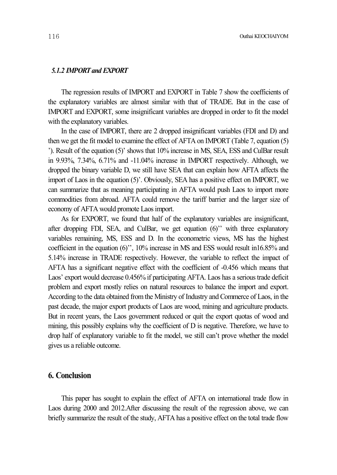### *5.1.2 IMPORTand EXPORT*

The regression results of IMPORT and EXPORT in Table 7 show the coefficients of the explanatory variables are almost similar with that of TRADE. But in the case of IMPORT and EXPORT, some insignificant variables are dropped in order to fit the model with the explanatory variables.

In the case of IMPORT, there are 2 dropped insignificant variables (FDI and D) and then we get the fit model to examine the effect of AFTA on IMPORT (Table 7, equation (5) '). Result of the equation (5)' shows that 10% increase in MS, SEA, ESS and CulBar result in 9.93%, 7.34%, 6.71% and -11.04% increase in IMPORT respectively. Although, we dropped the binary variable D, we still have SEA that can explain how AFTA affects the import of Laos in the equation (5)'. Obviously, SEA has a positive effect on IMPORT, we can summarize that as meaning participating in AFTA would push Laos to import more commodities from abroad. AFTA could remove the tariff barrier and the larger size of economy of AFTA would promote Laosimport.

As for EXPORT, we found that half of the explanatory variables are insignificant, after dropping FDI, SEA, and CulBar, we get equation (6)'' with three explanatory variables remaining, MS, ESS and D. In the econometric views, MS has the highest coefficient in the equation (6)'', 10% increase in MS and ESS would result in16.85% and 5.14% increase in TRADE respectively. However, the variable to reflect the impact of AFTA has a significant negative effect with the coefficient of -0.456 which means that Laos' export would decrease  $0.456\%$  if participating AFTA. Laos has a serious trade deficit problem and export mostly relies on natural resources to balance the import and export. According to the data obtained fromthe Ministry of Industry and Commerce of Laos, in the past decade, the major export products of Laos are wood, mining and agriculture products. But in recent years, the Laos government reduced or quit the export quotas of wood and mining, this possibly explains why the coefficient of D is negative. Therefore, we have to drop half of explanatory variable to fit the model, we still can't prove whether the model gives us a reliable outcome.

# **6. Conclusion**

This paper has sought to explain the effect of AFTA on international trade flow in Laos during 2000 and 2012.After discussing the result of the regression above, we can briefly summarize the result of the study, AFTA has a positive effect on the total trade flow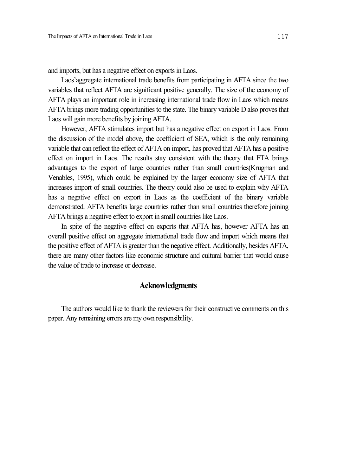and imports, but has a negative effect on exports in Laos.

Laos'aggregate international trade benefits from participating in AFTA since the two variables that reflect AFTA are significant positive generally. The size of the economy of AFTA plays an important role in increasing international trade flow in Laos which means AFTA brings more trading opportunities to the state. The binary variable D also proves that Laos will gain more benefits by joining AFTA.

However, AFTA stimulates import but has a negative effect on export in Laos. From the discussion of the model above, the coefficient of SEA, which is the only remaining variable that can reflect the effect of AFTA on import, has proved that AFTA has a positive effect on import in Laos. The results stay consistent with the theory that FTA brings advantages to the export of large countries rather than small countries(Krugman and Venables, 1995), which could be explained by the larger economy size of AFTA that increases import of small countries. The theory could also be used to explain why AFTA has a negative effect on export in Laos as the coefficient of the binary variable demonstrated. AFTA benefits large countries rather than small countries therefore joining AFTA brings a negative effect to export in small countries like Laos.

In spite of the negative effect on exports that AFTA has, however AFTA has an overall positive effect on aggregate international trade flow and import which means that the positive effect of AFTA is greater than the negative effect. Additionally, besides AFTA, there are many other factors like economic structure and cultural barrier that would cause the value of trade to increase or decrease.

### **Acknowledgments**

The authors would like to thank the reviewers for their constructive comments on this paper. Any remaining errors are my own responsibility.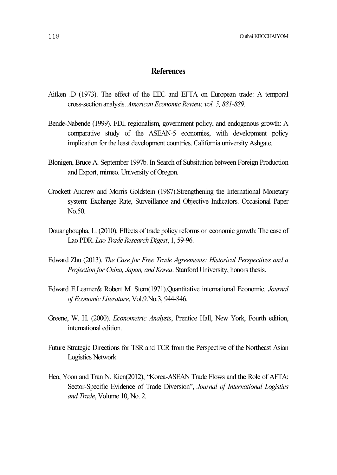# **References**

- Aitken .D (1973). The effect of the EEC and EFTA on European trade: A temporal cross-section analysis. *American Economic Review, vol. 5, 881-889.*
- Bende-Nabende (1999). FDI, regionalism, government policy, and endogenous growth: A comparative study of the ASEAN-5 economies, with development policy implication for the least development countries. California university Ashgate.
- Blonigen, Bruce A. September 1997b. In Search of Subsitution between Foreign Production and Export, mimeo. University of Oregon.
- Crockett Andrew and Morris Goldstein (1987).Strengthening the International Monetary system: Exchange Rate, Surveillance and Objective Indicators. Occasional Paper No.50.
- Douangboupha, L. (2010). Effects of trade policy reforms on economic growth: The case of Lao PDR. *Lao Trade Research Digest*, 1, 59-96.
- Edward Zhu (2013). *The Case for Free Trade Agreements: Historical Perspectives and a Projection for China, Japan, and Korea*. Stanford University, honorsthesis.
- Edward E.Leamer& Robert M. Stern(1971).Quantitative international Economic. *Journal of Economic Literature*, Vol.9.No.3, 944-846.
- Greene, W. H. (2000). *Econometric Analysis*, Prentice Hall, New York, Fourth edition, international edition.
- Future Strategic Directions for TSR and TCR from the Perspective of the Northeast Asian Logistics Network
- Heo, Yoon and Tran N. Kien(2012), "Korea-ASEAN Trade Flows and the Role of AFTA: Sector-Specific Evidence of Trade Diversion", *Journal of International Logistics and Trade*, Volume 10, No. 2.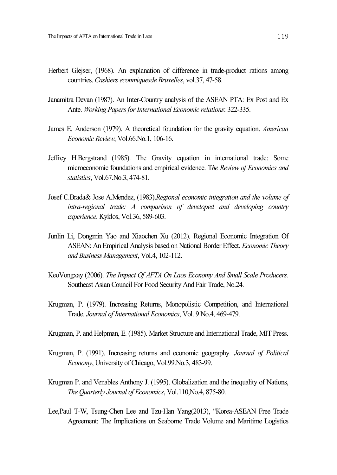- Herbert Glejser, (1968). An explanation of difference in trade-product rations among countries. *Cashiers econmiquesde Bruxelles*, vol.37, 47-58.
- Janamitra Devan (1987). An Inter-Country analysis of the ASEAN PTA: Ex Post and Ex Ante. *Working PapersforInternational Economic relations*: 322-335.
- James E. Anderson (1979). A theoretical foundation for the gravity equation. *American Economic Review*, Vol.66.No.1, 106-16.
- Jeffrey H.Bergstrand (1985). The Gravity equation in international trade: Some microeconomic foundations and empirical evidence. T*he Review of Economics and statistics*, Vol.67.No.3, 474-81.
- Josef C.Brada& Jose A.Mendez, (1983).*Regional economic integration and the volume of intra-regional trade: A comparison of developed and developing country experience*. Kyklos, Vol.36, 589-603.
- Junlin Li, Dongmin Yao and Xiaochen Xu (2012). Regional Economic Integration Of ASEAN: An Empirical Analysis based on National Border Effect. *Economic Theory and Business Management*, Vol.4, 102-112.
- KeoVongxay (2006). *The Impact Of AFTA On Laos Economy And Small Scale Producers*. Southeast Asian Council For Food Security And Fair Trade, No.24.
- Krugman, P. (1979). Increasing Returns, Monopolistic Competition, and International Trade. *Journal of International Economics*, Vol. 9 No.4, 469-479.
- Krugman, P. and Helpman, E. (1985). Market Structure and International Trade, MIT Press.
- Krugman, P. (1991). Increasing returns and economic geography. *Journal of Political Economy*, University of Chicago, Vol.99.No.3, 483-99.
- Krugman P. and Venables Anthony J. (1995). Globalization and the inequality of Nations, *The Quarterly Journal of Economics*, Vol.110,No.4, 875-80.
- Lee,Paul T-W, Tsung-Chen Lee and Tzu-Han Yang(2013), "Korea-ASEAN Free Trade Agreement: The Implications on Seaborne Trade Volume and Maritime Logistics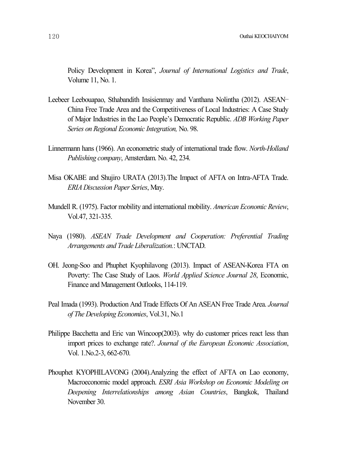Policy Development in Korea", *Journal of International Logistics and Trade*, Volume 11, No. 1.

- Leebeer Leebouapao, Sthabandith Insisienmay and Vanthana Nolintha (2012). ASEAN– China Free Trade Area and the Competitiveness of Local Industries: A Case Study of Major Industries in the Lao People's Democratic Republic. *ADB Working Paper Series on Regional Economic Integration,* No. 98.
- Linnermann hans (1966). An econometric study of international trade flow. *North-Holland Publishing company*, Amsterdam. No. 42, 234.
- Misa OKABE and Shujiro URATA (2013).The Impact of AFTA on Intra-AFTA Trade. *ERIA Discussion Paper Series*, May.
- Mundell R. (1975). Factor mobility and international mobility. *American Economic Review*, Vol.47, 321-335.
- Naya (1980). *ASEAN Trade Development and Cooperation: Preferential Trading Arrangements and Trade Liberalization.*: UNCTAD.
- OH. Jeong-Soo and Phuphet Kyophilavong (2013). Impact of ASEAN-Korea FTA on Poverty: The Case Study of Laos. *World Applied Science Journal 28*, Economic, Finance and Management Outlooks, 114-119.
- Peal Imada (1993). Production And Trade Effects Of An ASEAN Free Trade Area. *Journal of The Developing Economies*, Vol.31, No.1
- Philippe Bacchetta and Eric van Wincoop(2003). why do customer prices react less than import prices to exchange rate?. *Journal of the European Economic Association*, Vol. 1.No.2-3, 662-670.
- Phouphet KYOPHILAVONG (2004).Analyzing the effect of AFTA on Lao economy, Macroeconomic model approach. *ESRI Asia Workshop on Economic Modeling on Deepening Interrelationships among Asian Countries*, Bangkok, Thailand November 30.